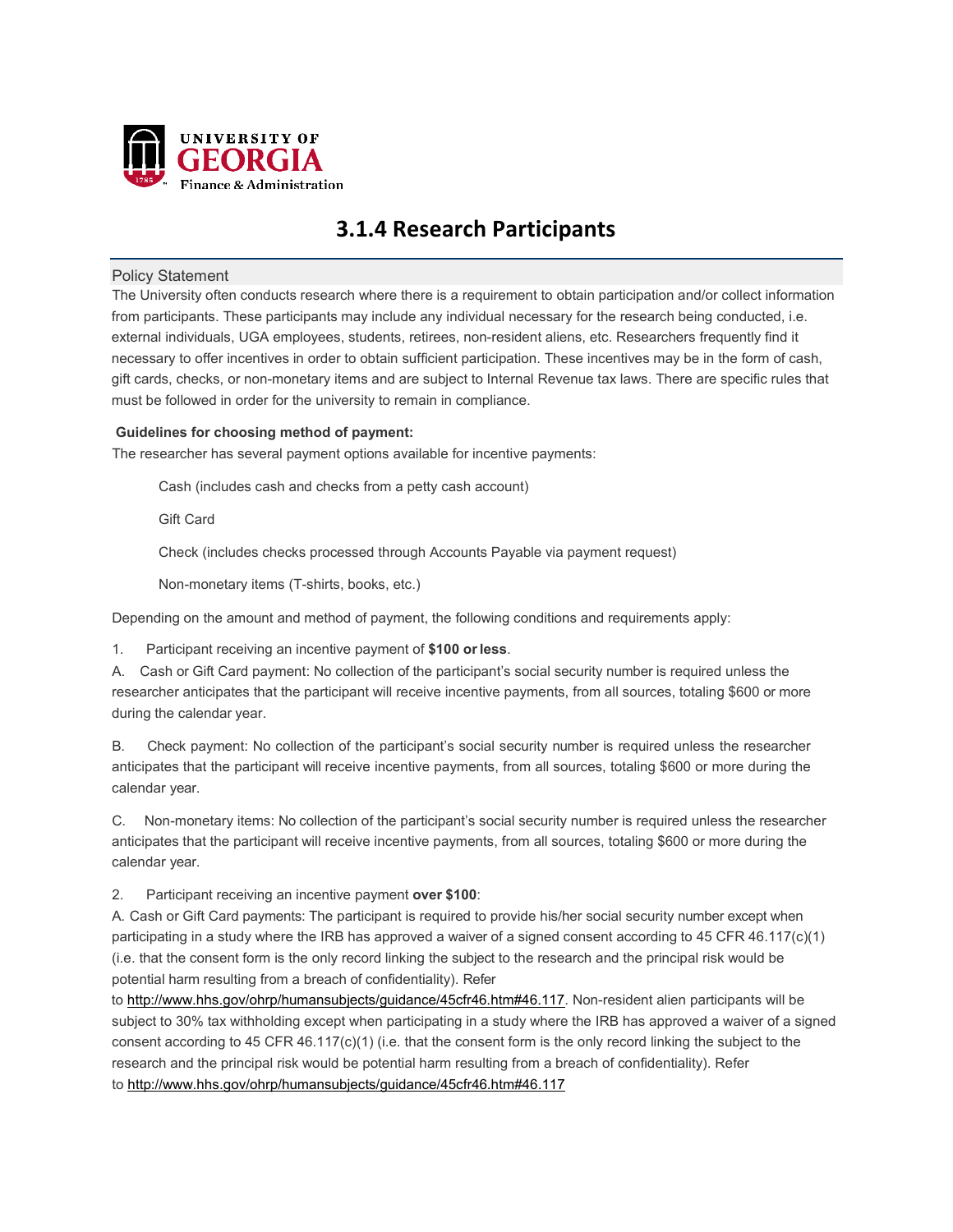

# **3.1.4 Research Participants**

## Policy Statement

The University often conducts research where there is a requirement to obtain participation and/or collect information from participants. These participants may include any individual necessary for the research being conducted, i.e. external individuals, UGA employees, students, retirees, non-resident aliens, etc. Researchers frequently find it necessary to offer incentives in order to obtain sufficient participation. These incentives may be in the form of cash, gift cards, checks, or non-monetary items and are subject to Internal Revenue tax laws. There are specific rules that must be followed in order for the university to remain in compliance.

## **Guidelines for choosing method of payment:**

The researcher has several payment options available for incentive payments:

Cash (includes cash and checks from a petty cash account)

Gift Card

Check (includes checks processed through Accounts Payable via payment request)

Non-monetary items (T-shirts, books, etc.)

Depending on the amount and method of payment, the following conditions and requirements apply:

1. Participant receiving an incentive payment of **\$100 orless**.

A. Cash or Gift Card payment: No collection of the participant's social security number is required unless the researcher anticipates that the participant will receive incentive payments, from all sources, totaling \$600 or more during the calendar year.

B. Check payment: No collection of the participant's social security number is required unless the researcher anticipates that the participant will receive incentive payments, from all sources, totaling \$600 or more during the calendar year.

C. Non-monetary items: No collection of the participant's social security number is required unless the researcher anticipates that the participant will receive incentive payments, from all sources, totaling \$600 or more during the calendar year.

2. Participant receiving an incentive payment **over \$100**:

A. Cash or Gift Card payments: The participant is required to provide his/her social security number except when participating in a study where the IRB has approved a waiver of a signed consent according to 45 CFR 46.117(c)(1) (i.e. that the consent form is the only record linking the subject to the research and the principal risk would be potential harm resulting from a breach of confidentiality). Refer

t[o http://www.hhs.gov/ohrp/humansubjects/guidance/45cfr46.htm#46.117. N](http://www.hhs.gov/ohrp/humansubjects/guidance/45cfr46.html#46.117)on-resident alien participants will be subject to 30% tax withholding except when participating in a study where the IRB has approved a waiver of a signed consent according to 45 CFR 46.117(c)(1) (i.e. that the consent form is the only record linking the subject to the research and the principal risk would be potential harm resulting from a breach of confidentiality). Refer to [http://www.hhs.gov/ohrp/humansubjects/guidance/45cfr46.htm#46.117](http://www.hhs.gov/ohrp/humansubjects/guidance/45cfr46.html#46.117)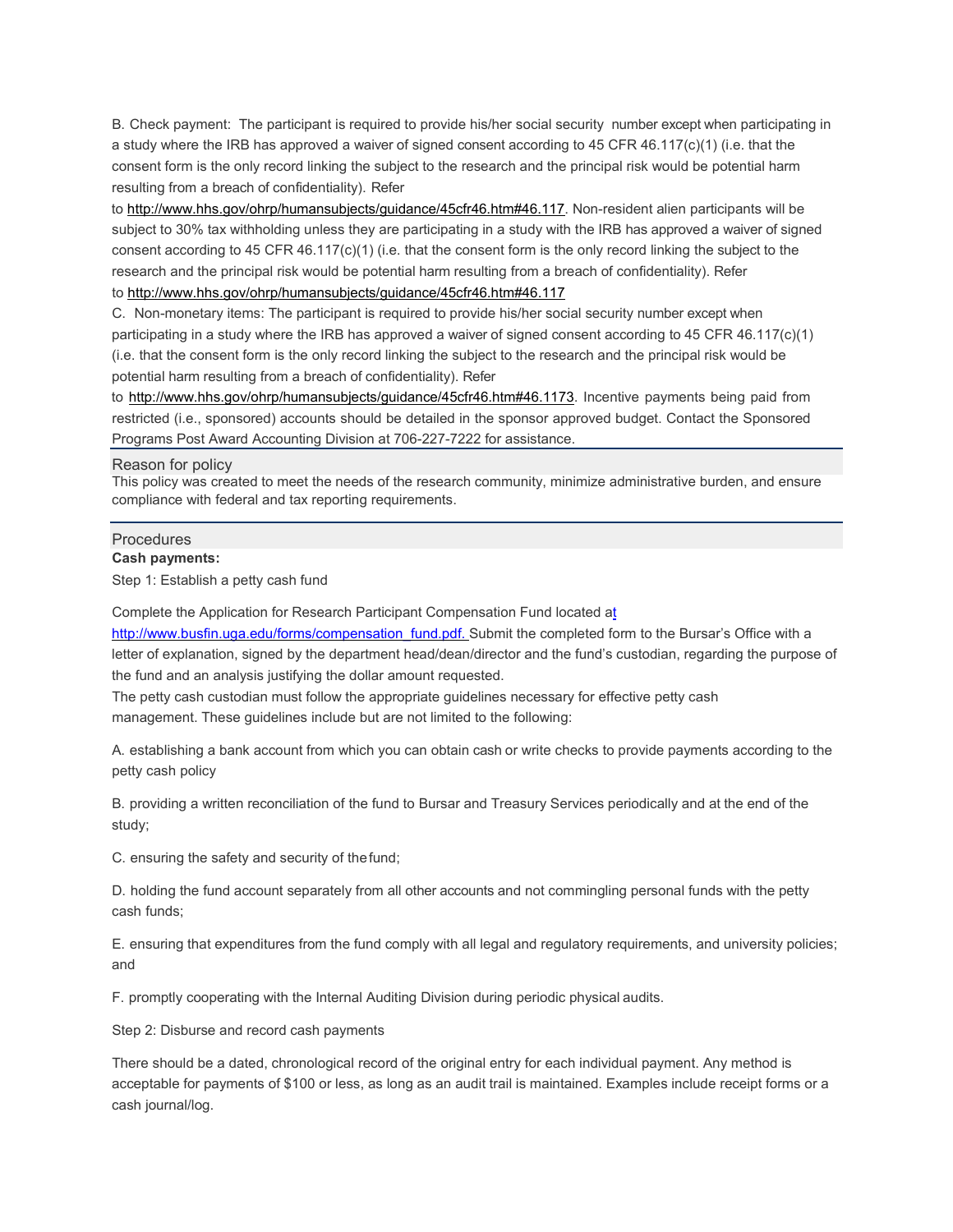B. Check payment: The participant is required to provide his/her social security number except when participating in a study where the IRB has approved a waiver of signed consent according to 45 CFR 46.117(c)(1) (i.e. that the consent form is the only record linking the subject to the research and the principal risk would be potential harm resulting from a breach of confidentiality). Refer

to [http://www.hhs.gov/ohrp/humansubjects/guidance/45cfr46.htm#46.117. N](http://www.hhs.gov/ohrp/humansubjects/guidance/45cfr46.htm#46.117Non-resident)on-resident alien participants will be subject to 30% tax withholding unless they are participating in a study with the IRB has approved a waiver of signed consent according to 45 CFR 46.117(c)(1) (i.e. that the consent form is the only record linking the subject to the research and the principal risk would be potential harm resulting from a breach of confidentiality). Refer

## to<http://www.hhs.gov/ohrp/humansubjects/guidance/45cfr46.htm#46.117>

C. Non-monetary items: The participant is required to provide his/her social security number except when participating in a study where the IRB has approved a waiver of signed consent according to 45 CFR 46.117(c)(1) (i.e. that the consent form is the only record linking the subject to the research and the principal risk would be potential harm resulting from a breach of confidentiality). Refer

to [http://www.hhs.gov/ohrp/humansubjects/guidance/45cfr46.htm#46.1173. I](http://www.hhs.gov/ohrp/humansubjects/guidance/45cfr46.htm%2346.1173)ncentive payments being paid from restricted (i.e., sponsored) accounts should be detailed in the sponsor approved budget. Contact the Sponsored Programs Post Award Accounting Division at 706-227-7222 for assistance.

#### Reason for policy

This policy was created to meet the needs of the research community, minimize administrative burden, and ensure compliance with federal and tax reporting requirements.

# Procedures

**Cash payments:**

Step 1: Establish a petty cash fund

Complete the Application for Research Participant Compensation Fund located at [http://www.busfin.uga.edu/forms/compensation\\_fund.pdf. Submit](http://www.busfin.uga.edu/forms/compensation_fund.pdf.Submit) the completed form to the Bursar's Office with a letter of explanation, signed by the department head/dean/director and the fund's custodian, regarding the purpose of the fund and an analysis justifying the dollar amount requested.

The petty cash custodian must follow the appropriate guidelines necessary for effective petty cash management. These guidelines include but are not limited to the following:

A. establishing a bank account from which you can obtain cash or write checks to provide payments according to the petty cash policy

B. providing a written reconciliation of the fund to Bursar and Treasury Services periodically and at the end of the study;

C. ensuring the safety and security of thefund;

D. holding the fund account separately from all other accounts and not commingling personal funds with the petty cash funds;

E. ensuring that expenditures from the fund comply with all legal and regulatory requirements, and university policies; and

F. promptly cooperating with the Internal Auditing Division during periodic physical audits.

Step 2: Disburse and record cash payments

There should be a dated, chronological record of the original entry for each individual payment. Any method is acceptable for payments of \$100 or less, as long as an audit trail is maintained. Examples include receipt forms or a cash journal/log.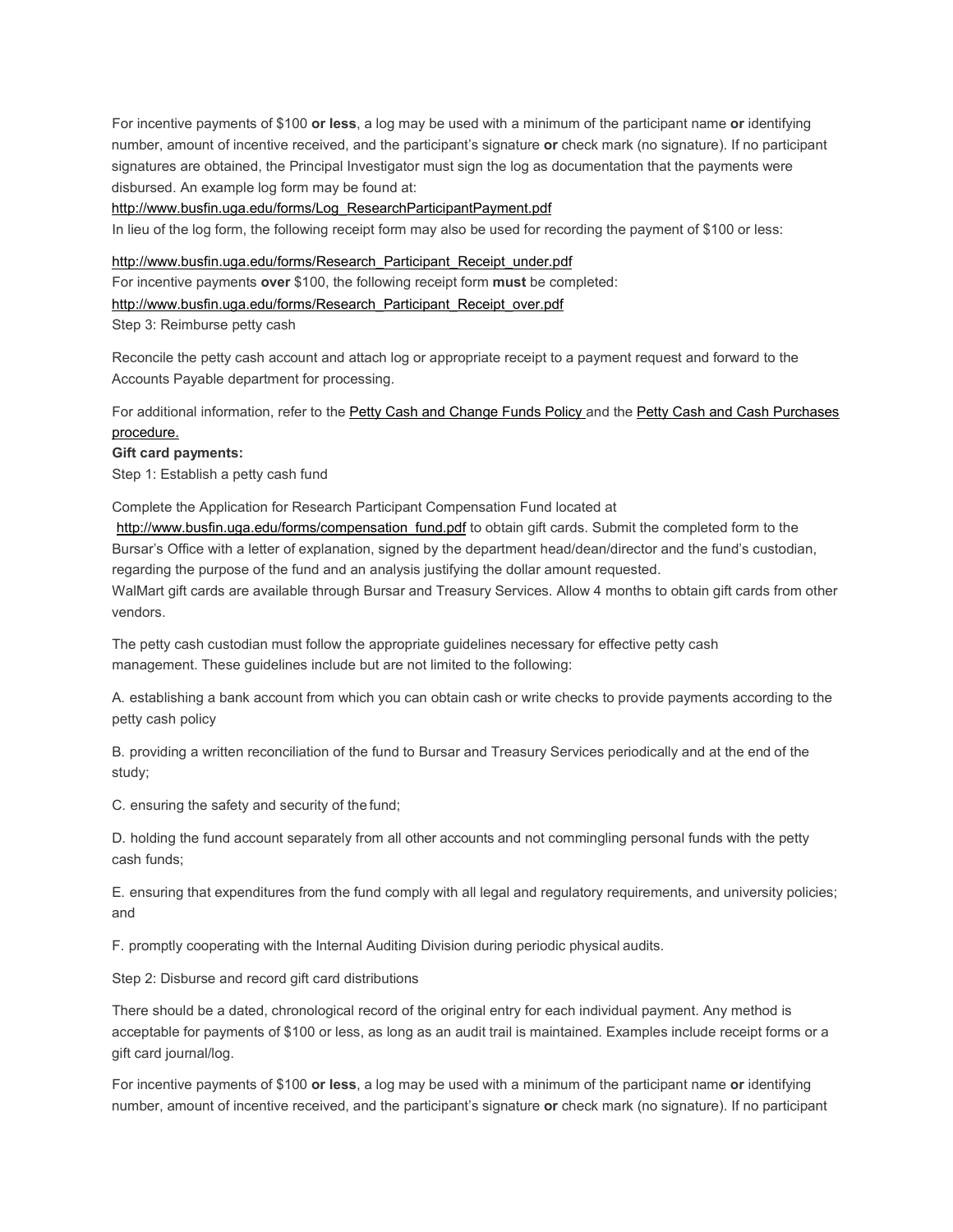For incentive payments of \$100 **or less**, a log may be used with a minimum of the participant name **or** identifying number, amount of incentive received, and the participant's signature **or** check mark (no signature). If no participant signatures are obtained, the Principal Investigator must sign the log as documentation that the payments were disbursed. An example log form may be found at:

#### [http://www.busfin.uga.edu/forms/Log\\_ResearchParticipantPayment.pdf](http://www.busfin.uga.edu/forms/Log_ResearchParticipantPayment.pdf)

In lieu of the log form, the following receipt form may also be used for recording the payment of \$100 or less:

#### [http://www.busfin.uga.edu/forms/Research\\_Participant\\_Receipt\\_under.pdf](http://www.busfin.uga.edu/forms/Research_Participant_Receipt_under.pdf)

For incentive payments **over** \$100, the following receipt form **must** be completed:

#### [http://www.busfin.uga.edu/forms/Research\\_Participant\\_Receipt\\_over.pdf](http://www.busfin.uga.edu/forms/Research_Participant_Receipt_over.pdf)

Step 3: Reimburse petty cash

Reconcile the petty cash account and attach log or appropriate receipt to a payment request and forward to the Accounts Payable department for processing.

For additional information, refer to th[e Petty Cash and Change Funds Policy a](http://www.policies.uga.edu/FA/nodes/view/846/Petty-Cash-and-Change-Funds)nd the [Petty Cash and Cash Purchases](http://www.policies.uga.edu/FA/nodes/view/1054/Petty-Cash) [procedure.](http://www.policies.uga.edu/FA/nodes/view/1054/Petty-Cash)

#### **Gift card payments:**

Step 1: Establish a petty cash fund

Complete the Application for Research Participant Compensation Fund located at [http://www.busfin.uga.edu/forms/compensation\\_fund.pdf](http://www.busfin.uga.edu/forms/compensation_fund.pdf) to obtain gift cards. Submit the completed form to the Bursar's Office with a letter of explanation, signed by the department head/dean/director and the fund's custodian, regarding the purpose of the fund and an analysis justifying the dollar amount requested. WalMart gift cards are available through Bursar and Treasury Services. Allow 4 months to obtain gift cards from other vendors.

The petty cash custodian must follow the appropriate guidelines necessary for effective petty cash management. These guidelines include but are not limited to the following:

A. establishing a bank account from which you can obtain cash or write checks to provide payments according to the petty cash policy

B. providing a written reconciliation of the fund to Bursar and Treasury Services periodically and at the end of the study;

C. ensuring the safety and security of the fund;

D. holding the fund account separately from all other accounts and not commingling personal funds with the petty cash funds;

E. ensuring that expenditures from the fund comply with all legal and regulatory requirements, and university policies; and

F. promptly cooperating with the Internal Auditing Division during periodic physical audits.

Step 2: Disburse and record gift card distributions

There should be a dated, chronological record of the original entry for each individual payment. Any method is acceptable for payments of \$100 or less, as long as an audit trail is maintained. Examples include receipt forms or a gift card journal/log.

For incentive payments of \$100 **or less**, a log may be used with a minimum of the participant name **or** identifying number, amount of incentive received, and the participant's signature **or** check mark (no signature). If no participant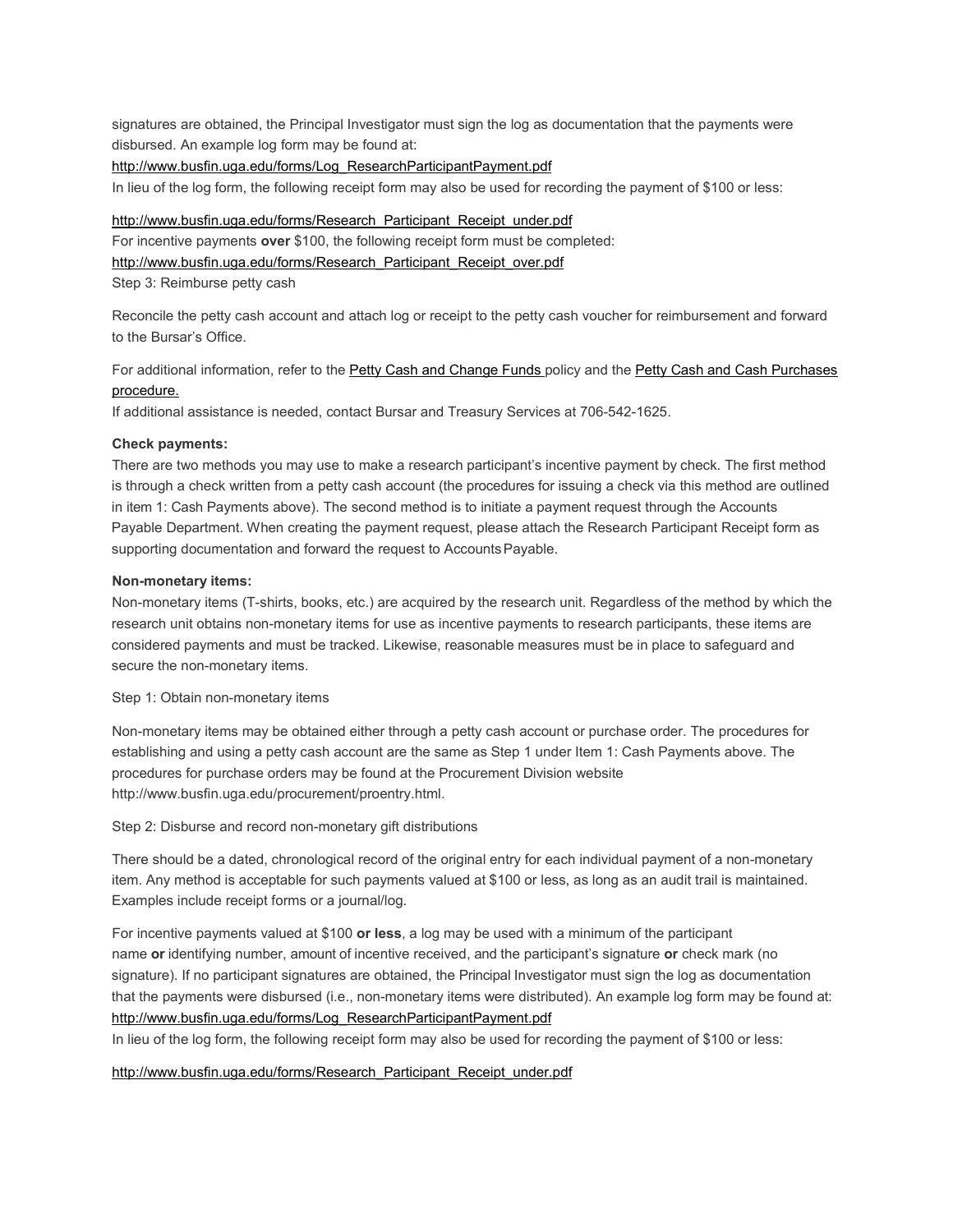signatures are obtained, the Principal Investigator must sign the log as documentation that the payments were disbursed. An example log form may be found at:

#### [http://www.busfin.uga.edu/forms/Log\\_ResearchParticipantPayment.pdf](http://www.busfin.uga.edu/forms/Log_ResearchParticipantPayment.pdf)

In lieu of the log form, the following receipt form may also be used for recording the payment of \$100 or less:

#### [http://www.busfin.uga.edu/forms/Research\\_Participant\\_Receipt\\_under.pdf](http://www.busfin.uga.edu/forms/Research_Participant_Receipt_under.pdf)

For incentive payments **over** \$100, the following receipt form must be completed:

[http://www.busfin.uga.edu/forms/Research\\_Participant\\_Receipt\\_over.pdf](http://www.busfin.uga.edu/forms/Research_Participant_Receipt_over.pdf)

Step 3: Reimburse petty cash

Reconcile the petty cash account and attach log or receipt to the petty cash voucher for reimbursement and forward to the Bursar's Office.

For additional information, refer to th[e Petty Cash and Change Funds p](http://www.policies.uga.edu/FA/nodes/view/846/Petty-Cash-and-Change-Funds)olicy and the [Petty Cash and Cash Purchases](http://www.policies.uga.edu/FA/nodes/view/1054/Petty-Cash) [procedure.](http://www.policies.uga.edu/FA/nodes/view/1054/Petty-Cash)

If additional assistance is needed, contact Bursar and Treasury Services at 706-542-1625.

#### **Check payments:**

There are two methods you may use to make a research participant's incentive payment by check. The first method is through a check written from a petty cash account (the procedures for issuing a check via this method are outlined in item 1: Cash Payments above). The second method is to initiate a payment request through the Accounts Payable Department. When creating the payment request, please attach the Research Participant Receipt form as supporting documentation and forward the request to Accounts Payable.

#### **Non-monetary items:**

Non-monetary items (T-shirts, books, etc.) are acquired by the research unit. Regardless of the method by which the research unit obtains non-monetary items for use as incentive payments to research participants, these items are considered payments and must be tracked. Likewise, reasonable measures must be in place to safeguard and secure the non-monetary items.

Step 1: Obtain non-monetary items

Non-monetary items may be obtained either through a petty cash account or purchase order. The procedures for establishing and using a petty cash account are the same as Step 1 under Item 1: Cash Payments above. The procedures for purchase orders may be found at the Procurement Division websit[e](http://www.busfin.uga.edu/procurement/proentry.html) [http://www.busfin.uga.edu/procurement/proentry.html.](http://www.busfin.uga.edu/procurement/proentry.html)

Step 2: Disburse and record non-monetary gift distributions

There should be a dated, chronological record of the original entry for each individual payment of a non-monetary item. Any method is acceptable for such payments valued at \$100 or less, as long as an audit trail is maintained. Examples include receipt forms or a journal/log.

For incentive payments valued at \$100 **or less**, a log may be used with a minimum of the participant name **or** identifying number, amount of incentive received, and the participant's signature **or** check mark (no signature). If no participant signatures are obtained, the Principal Investigator must sign the log as documentation that the payments were disbursed (i.e., non-monetary items were distributed). An example log form may be found at: [http://www.busfin.uga.edu/forms/Log\\_ResearchParticipantPayment.pdf](http://www.busfin.uga.edu/forms/Log_ResearchParticipantPayment.pdf)

In lieu of the log form, the following receipt form may also be used for recording the payment of \$100 or less:

#### [http://www.busfin.uga.edu/forms/Research\\_Participant\\_Receipt\\_under.pdf](http://www.busfin.uga.edu/forms/Research_Participant_Receipt_under.pdf)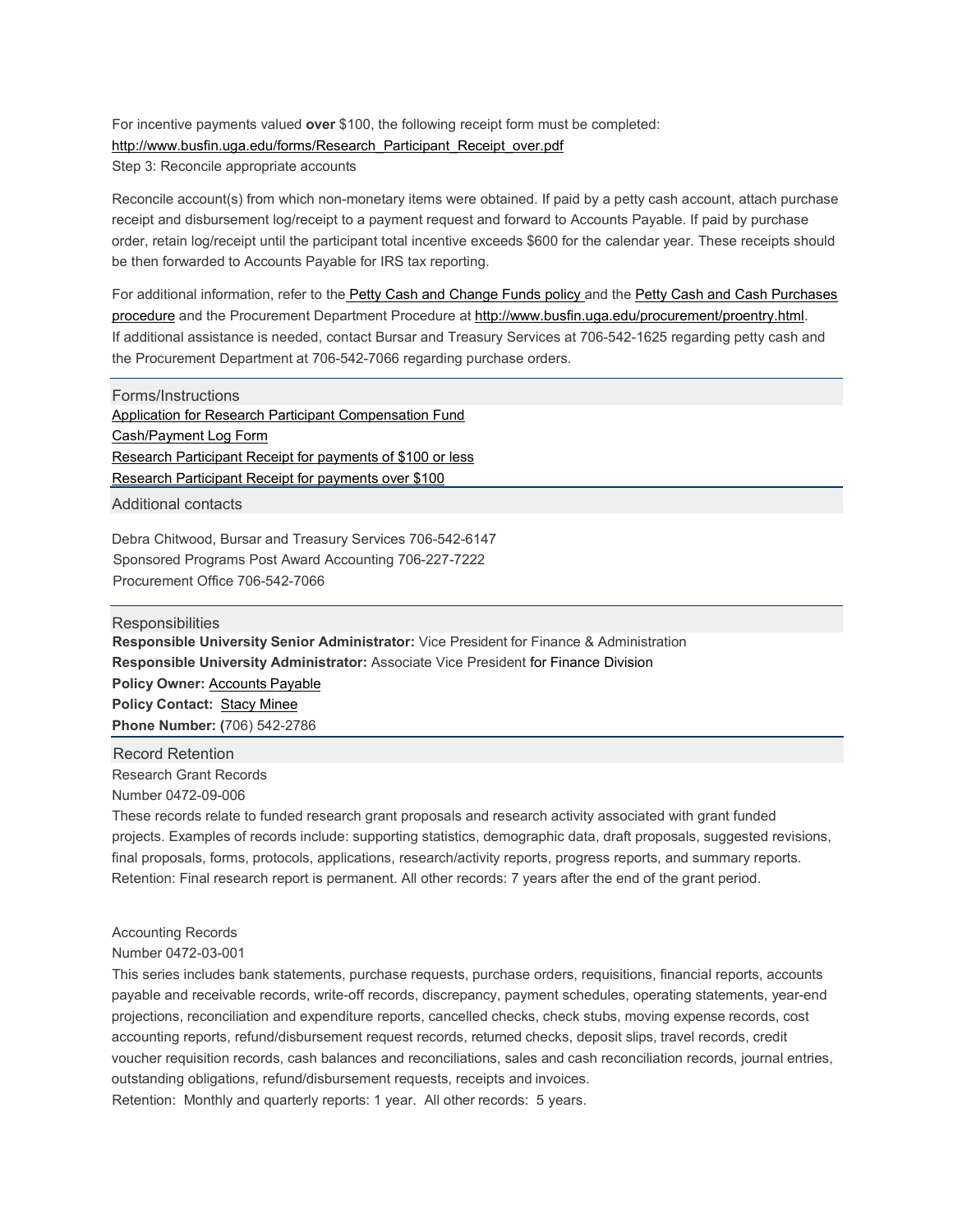For incentive payments valued **over** \$100, the following receipt form must be completed: [http://www.busfin.uga.edu/forms/Research\\_Participant\\_Receipt\\_over.pdf](http://www.busfin.uga.edu/forms/Research_Participant_Receipt_over.pdf) Step 3: Reconcile appropriate accounts

Reconcile account(s) from which non-monetary items were obtained. If paid by a petty cash account, attach purchase receipt and disbursement log/receipt to a payment request and forward to Accounts Payable. If paid by purchase order, retain log/receipt until the participant total incentive exceeds \$600 for the calendar year. These receipts should be then forwarded to Accounts Payable for IRS tax reporting.

For additional information, refer to the [Petty Cash and Change Funds policy a](http://www.policies.uga.edu/FA/nodes/view/846/Petty-Cash-and-Change-Funds)nd the [Petty Cash and Cash Purchases](http://www.policies.uga.edu/FA/nodes/view/1054/Petty-Cash) [procedure](http://www.policies.uga.edu/FA/nodes/view/1054/Petty-Cash) and the Procurement Department Procedure at [http://www.busfin.uga.edu/procurement/proentry.html.](http://www.busfin.uga.edu/procurement/proentry.html) If additional assistance is needed, contact Bursar and Treasury Services at 706-542-1625 regarding petty cash and the Procurement Department at 706-542-7066 regarding purchase orders.

Forms/Instructions [Application for Research Participant Compensation Fund](http://www.busfin.uga.edu/forms/compensation_fund.pdf) [Cash/Payment Log Form](http://www.busfin.uga.edu/forms/Log_ResearchParticipantPayment.pdf) [Research Participant Receipt for payments of \\$100 or less](http://www.busfin.uga.edu/forms/Research_Participant_Receipt_under.pdf) [Research Participant Receipt for payments over \\$100](http://www.busfin.uga.edu/forms/Research_Participant_Receipt_over.pdf)

Additional contacts

Debra Chitwood, Bursar and Treasury Services 706-542-6147 Sponsored Programs Post Award Accounting 706-227-7222 Procurement Office 706-542-7066

**Responsibilities Responsible University Senior Administrator:** Vice President for Finance & Administration **Responsible University Administrator:** Associate Vice President for Finance Division **Policy Owner:** [Accounts](mailto:actpay@uga.edu) Payable **Policy Contact:** [Stacy Minee](mailto:Stacy.Mclaine@uga.edu) **Phone Number: (**706) 542-2786

Research Grant Records Number 0472-09-006 Record Retention

These records relate to funded research grant proposals and research activity associated with grant funded projects. Examples of records include: supporting statistics, demographic data, draft proposals, suggested revisions, final proposals, forms, protocols, applications, research/activity reports, progress reports, and summary reports. Retention: Final research report is permanent. All other records: 7 years after the end of the grant period.

Accounting Records

Number 0472-03-001

This series includes bank statements, purchase requests, purchase orders, requisitions, financial reports, accounts payable and receivable records, write-off records, discrepancy, payment schedules, operating statements, year-end projections, reconciliation and expenditure reports, cancelled checks, check stubs, moving expense records, cost accounting reports, refund/disbursement request records, returned checks, deposit slips, travel records, credit voucher requisition records, cash balances and reconciliations, sales and cash reconciliation records, journal entries, outstanding obligations, refund/disbursement requests, receipts and invoices. Retention: Monthly and quarterly reports: 1 year. All other records: 5 years.